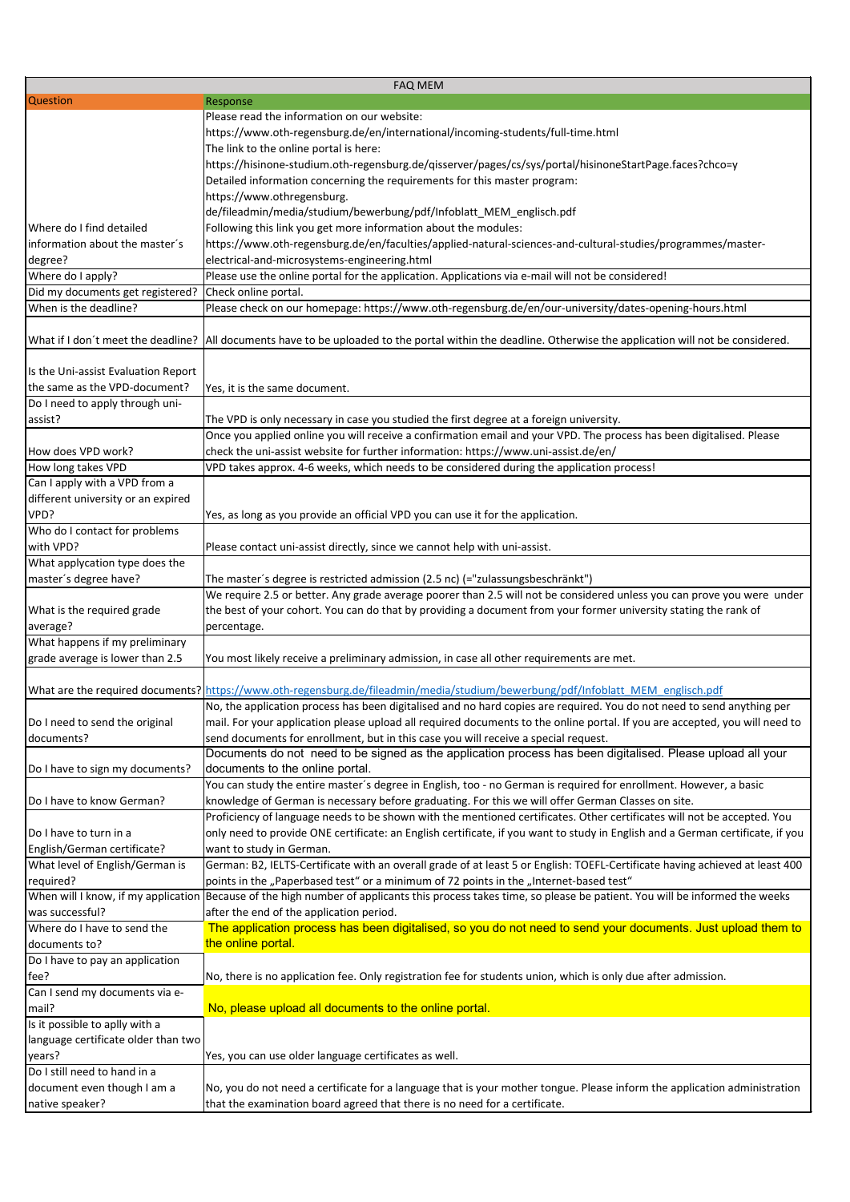|                                                         | <b>FAQ MEM</b>                                                                                                                                                                                          |
|---------------------------------------------------------|---------------------------------------------------------------------------------------------------------------------------------------------------------------------------------------------------------|
| <b>Question</b>                                         | Response                                                                                                                                                                                                |
|                                                         | Please read the information on our website:                                                                                                                                                             |
|                                                         | https://www.oth-regensburg.de/en/international/incoming-students/full-time.html                                                                                                                         |
|                                                         | The link to the online portal is here:                                                                                                                                                                  |
|                                                         | https://hisinone-studium.oth-regensburg.de/qisserver/pages/cs/sys/portal/hisinoneStartPage.faces?chco=y                                                                                                 |
|                                                         | Detailed information concerning the requirements for this master program:                                                                                                                               |
|                                                         | https://www.othregensburg.                                                                                                                                                                              |
|                                                         | de/fileadmin/media/studium/bewerbung/pdf/Infoblatt_MEM_englisch.pdf                                                                                                                                     |
| Where do I find detailed                                | Following this link you get more information about the modules:                                                                                                                                         |
| information about the master's                          | https://www.oth-regensburg.de/en/faculties/applied-natural-sciences-and-cultural-studies/programmes/master-                                                                                             |
| degree?                                                 | electrical-and-microsystems-engineering.html                                                                                                                                                            |
| Where do I apply?                                       | Please use the online portal for the application. Applications via e-mail will not be considered!                                                                                                       |
| Did my documents get registered?                        | Check online portal.                                                                                                                                                                                    |
| When is the deadline?                                   | Please check on our homepage: https://www.oth-regensburg.de/en/our-university/dates-opening-hours.html                                                                                                  |
|                                                         |                                                                                                                                                                                                         |
|                                                         | What if I don't meet the deadline?  All documents have to be uploaded to the portal within the deadline. Otherwise the application will not be considered.                                              |
|                                                         |                                                                                                                                                                                                         |
| Is the Uni-assist Evaluation Report                     |                                                                                                                                                                                                         |
| the same as the VPD-document?                           | Yes, it is the same document.                                                                                                                                                                           |
| Do I need to apply through uni-                         |                                                                                                                                                                                                         |
| assist?                                                 | The VPD is only necessary in case you studied the first degree at a foreign university.                                                                                                                 |
|                                                         | Once you applied online you will receive a confirmation email and your VPD. The process has been digitalised. Please                                                                                    |
| How does VPD work?                                      | check the uni-assist website for further information: https://www.uni-assist.de/en/                                                                                                                     |
| How long takes VPD                                      | VPD takes approx. 4-6 weeks, which needs to be considered during the application process!                                                                                                               |
| Can I apply with a VPD from a                           |                                                                                                                                                                                                         |
| different university or an expired                      |                                                                                                                                                                                                         |
| VPD?                                                    | Yes, as long as you provide an official VPD you can use it for the application.                                                                                                                         |
| Who do I contact for problems<br>with VPD?              |                                                                                                                                                                                                         |
|                                                         | Please contact uni-assist directly, since we cannot help with uni-assist.                                                                                                                               |
| What applycation type does the<br>master's degree have? | The master's degree is restricted admission (2.5 nc) (="zulassungsbeschränkt")                                                                                                                          |
|                                                         | We require 2.5 or better. Any grade average poorer than 2.5 will not be considered unless you can prove you were under                                                                                  |
| What is the required grade                              | the best of your cohort. You can do that by providing a document from your former university stating the rank of                                                                                        |
| average?                                                | percentage.                                                                                                                                                                                             |
| What happens if my preliminary                          |                                                                                                                                                                                                         |
| grade average is lower than 2.5                         | You most likely receive a preliminary admission, in case all other requirements are met.                                                                                                                |
|                                                         |                                                                                                                                                                                                         |
|                                                         | What are the required documents? https://www.oth-regensburg.de/fileadmin/media/studium/bewerbung/pdf/Infoblatt MEM englisch.pdf                                                                         |
|                                                         | No, the application process has been digitalised and no hard copies are required. You do not need to send anything per                                                                                  |
| Do I need to send the original                          | mail. For your application please upload all required documents to the online portal. If you are accepted, you will need to                                                                             |
| documents?                                              | send documents for enrollment, but in this case you will receive a special request.                                                                                                                     |
|                                                         | Documents do not need to be signed as the application process has been digitalised. Please upload all your                                                                                              |
| Do I have to sign my documents?                         | documents to the online portal.                                                                                                                                                                         |
|                                                         | You can study the entire master's degree in English, too - no German is required for enrollment. However, a basic                                                                                       |
| Do I have to know German?                               | knowledge of German is necessary before graduating. For this we will offer German Classes on site.                                                                                                      |
|                                                         | Proficiency of language needs to be shown with the mentioned certificates. Other certificates will not be accepted. You                                                                                 |
| Do I have to turn in a                                  | only need to provide ONE certificate: an English certificate, if you want to study in English and a German certificate, if you                                                                          |
| English/German certificate?                             | want to study in German.                                                                                                                                                                                |
| What level of English/German is                         | German: B2, IELTS-Certificate with an overall grade of at least 5 or English: TOEFL-Certificate having achieved at least 400                                                                            |
| required?                                               | points in the "Paperbased test" or a minimum of 72 points in the "Internet-based test"                                                                                                                  |
|                                                         | When will I know, if my application Because of the high number of applicants this process takes time, so please be patient. You will be informed the weeks                                              |
| was successful?                                         | after the end of the application period.                                                                                                                                                                |
| Where do I have to send the                             | The application process has been digitalised, so you do not need to send your documents. Just upload them to                                                                                            |
| documents to?                                           | the online portal.                                                                                                                                                                                      |
| Do I have to pay an application                         |                                                                                                                                                                                                         |
| fee?                                                    | No, there is no application fee. Only registration fee for students union, which is only due after admission.                                                                                           |
| Can I send my documents via e-                          |                                                                                                                                                                                                         |
| mail?                                                   | No, please upload all documents to the online portal.                                                                                                                                                   |
| Is it possible to aplly with a                          |                                                                                                                                                                                                         |
| language certificate older than two                     |                                                                                                                                                                                                         |
| lyears?<br>Do I still need to hand in a                 | Yes, you can use older language certificates as well.                                                                                                                                                   |
|                                                         |                                                                                                                                                                                                         |
| document even though I am a                             | No, you do not need a certificate for a language that is your mother tongue. Please inform the application administration<br>that the examination board agreed that there is no need for a certificate. |
| native speaker?                                         |                                                                                                                                                                                                         |